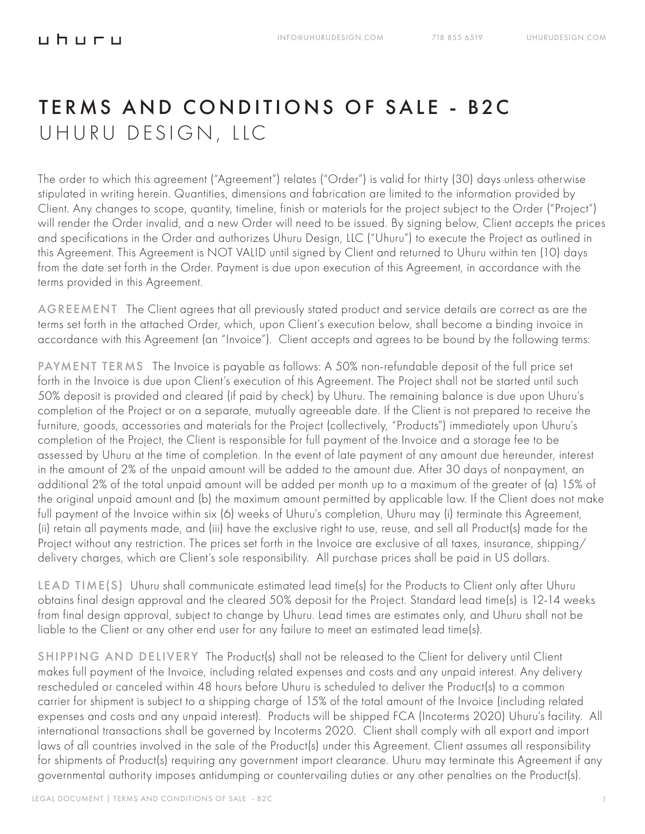## TERMS AND CONDITIONS OF SALE - B2C UHURU DESIGN, LLC

The order to which this agreement ("Agreement") relates ("Order") is valid for thirty (30) days unless otherwise stipulated in writing herein. Quantities, dimensions and fabrication are limited to the information provided by Client. Any changes to scope, quantity, timeline, finish or materials for the project subject to the Order ("Project") will render the Order invalid, and a new Order will need to be issued. By signing below, Client accepts the prices and specifications in the Order and authorizes Uhuru Design, LLC ("Uhuru") to execute the Project as outlined in this Agreement. This Agreement is NOT VALID until signed by Client and returned to Uhuru within ten (10) days from the date set forth in the Order. Payment is due upon execution of this Agreement, in accordance with the terms provided in this Agreement.

AGREEMENT The Client agrees that all previously stated product and service details are correct as are the terms set forth in the attached Order, which, upon Client's execution below, shall become a binding invoice in accordance with this Agreement (an "Invoice"). Client accepts and agrees to be bound by the following terms:

PAYMENT TERMS The Invoice is payable as follows: A 50% non-refundable deposit of the full price set forth in the Invoice is due upon Client's execution of this Agreement. The Project shall not be started until such 50% deposit is provided and cleared (if paid by check) by Uhuru. The remaining balance is due upon Uhuru's completion of the Project or on a separate, mutually agreeable date. If the Client is not prepared to receive the furniture, goods, accessories and materials for the Project (collectively, "Products") immediately upon Uhuru's completion of the Project, the Client is responsible for full payment of the Invoice and a storage fee to be assessed by Uhuru at the time of completion. In the event of late payment of any amount due hereunder, interest in the amount of 2% of the unpaid amount will be added to the amount due. After 30 days of nonpayment, an additional 2% of the total unpaid amount will be added per month up to a maximum of the greater of (a) 15% of the original unpaid amount and (b) the maximum amount permitted by applicable law. If the Client does not make full payment of the Invoice within six (6) weeks of Uhuru's completion, Uhuru may (i) terminate this Agreement, (ii) retain all payments made, and (iii) have the exclusive right to use, reuse, and sell all Product(s) made for the Project without any restriction. The prices set forth in the Invoice are exclusive of all taxes, insurance, shipping/ delivery charges, which are Client's sole responsibility. All purchase prices shall be paid in US dollars.

LEAD TIME(S) Uhuru shall communicate estimated lead time(s) for the Products to Client only after Uhuru obtains final design approval and the cleared 50% deposit for the Project. Standard lead time(s) is 12-14 weeks from final design approval, subject to change by Uhuru. Lead times are estimates only, and Uhuru shall not be liable to the Client or any other end user for any failure to meet an estimated lead time(s).

SHIPPING AND DELIVERY The Product(s) shall not be released to the Client for delivery until Client makes full payment of the Invoice, including related expenses and costs and any unpaid interest. Any delivery rescheduled or canceled within 48 hours before Uhuru is scheduled to deliver the Product(s) to a common carrier for shipment is subject to a shipping charge of 15% of the total amount of the Invoice (including related expenses and costs and any unpaid interest). Products will be shipped FCA (Incoterms 2020) Uhuru's facility. All international transactions shall be governed by Incoterms 2020. Client shall comply with all export and import laws of all countries involved in the sale of the Product(s) under this Agreement. Client assumes all responsibility for shipments of Product(s) requiring any government import clearance. Uhuru may terminate this Agreement if any governmental authority imposes antidumping or countervailing duties or any other penalties on the Product(s).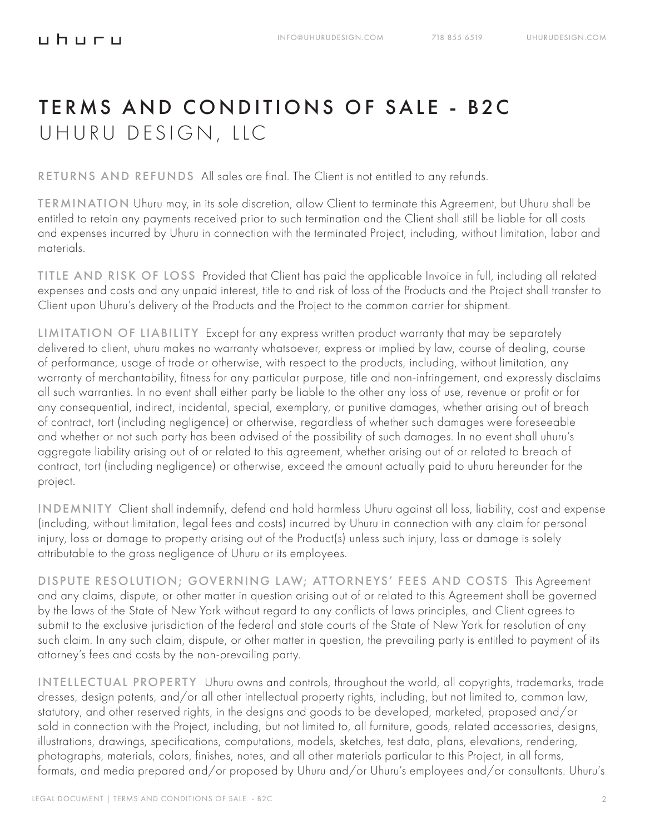## TERMS AND CONDITIONS OF SALE - B2C UHURU DESIGN, LLC

RETURNS AND REFUNDS All sales are final. The Client is not entitled to any refunds.

TERMINATION Uhuru may, in its sole discretion, allow Client to terminate this Agreement, but Uhuru shall be entitled to retain any payments received prior to such termination and the Client shall still be liable for all costs and expenses incurred by Uhuru in connection with the terminated Project, including, without limitation, labor and materials.

TITLE AND RISK OF LOSS Provided that Client has paid the applicable Invoice in full, including all related expenses and costs and any unpaid interest, title to and risk of loss of the Products and the Project shall transfer to Client upon Uhuru's delivery of the Products and the Project to the common carrier for shipment.

LIMITATION OF LIABILITY Except for any express written product warranty that may be separately delivered to client, uhuru makes no warranty whatsoever, express or implied by law, course of dealing, course of performance, usage of trade or otherwise, with respect to the products, including, without limitation, any warranty of merchantability, fitness for any particular purpose, title and non-infringement, and expressly disclaims all such warranties. In no event shall either party be liable to the other any loss of use, revenue or profit or for any consequential, indirect, incidental, special, exemplary, or punitive damages, whether arising out of breach of contract, tort (including negligence) or otherwise, regardless of whether such damages were foreseeable and whether or not such party has been advised of the possibility of such damages. In no event shall uhuru's aggregate liability arising out of or related to this agreement, whether arising out of or related to breach of contract, tort (including negligence) or otherwise, exceed the amount actually paid to uhuru hereunder for the project.

INDEMNITY Client shall indemnify, defend and hold harmless Uhuru against all loss, liability, cost and expense (including, without limitation, legal fees and costs) incurred by Uhuru in connection with any claim for personal injury, loss or damage to property arising out of the Product(s) unless such injury, loss or damage is solely attributable to the gross negligence of Uhuru or its employees.

DISPUTE RESOLUTION; GOVERNING LAW; ATTORNEYS' FEES AND COSTS This Agreement and any claims, dispute, or other matter in question arising out of or related to this Agreement shall be governed by the laws of the State of New York without regard to any conflicts of laws principles, and Client agrees to submit to the exclusive jurisdiction of the federal and state courts of the State of New York for resolution of any such claim. In any such claim, dispute, or other matter in question, the prevailing party is entitled to payment of its attorney's fees and costs by the non-prevailing party.

INTELLECTUAL PROPERTY Uhuru owns and controls, throughout the world, all copyrights, trademarks, trade dresses, design patents, and/or all other intellectual property rights, including, but not limited to, common law, statutory, and other reserved rights, in the designs and goods to be developed, marketed, proposed and/or sold in connection with the Project, including, but not limited to, all furniture, goods, related accessories, designs, illustrations, drawings, specifications, computations, models, sketches, test data, plans, elevations, rendering, photographs, materials, colors, finishes, notes, and all other materials particular to this Project, in all forms, formats, and media prepared and/or proposed by Uhuru and/or Uhuru's employees and/or consultants. Uhuru's